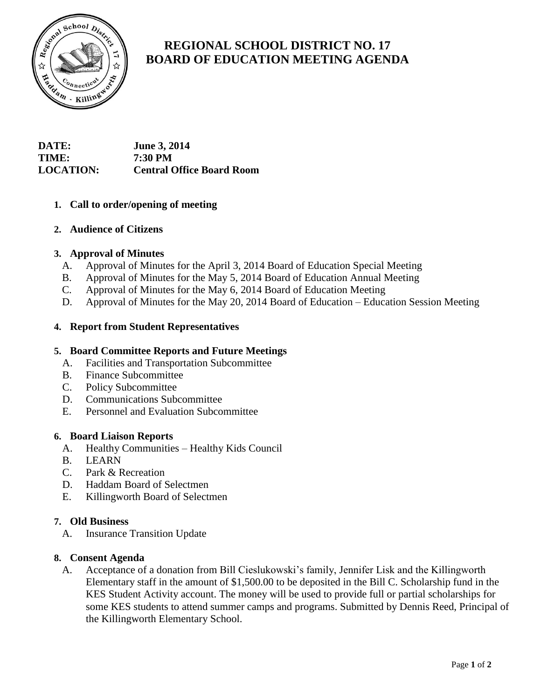

# **REGIONAL SCHOOL DISTRICT NO. 17 BOARD OF EDUCATION MEETING AGENDA**

# **DATE: June 3, 2014 TIME: 7:30 PM LOCATION: Central Office Board Room**

# **1. Call to order/opening of meeting**

# **2. Audience of Citizens**

# **3. Approval of Minutes**

- A. Approval of Minutes for the April 3, 2014 Board of Education Special Meeting
- B. Approval of Minutes for the May 5, 2014 Board of Education Annual Meeting
- C. Approval of Minutes for the May 6, 2014 Board of Education Meeting
- D. Approval of Minutes for the May 20, 2014 Board of Education Education Session Meeting

## **4. Report from Student Representatives**

#### **5. Board Committee Reports and Future Meetings**

- A. Facilities and Transportation Subcommittee
- B. Finance Subcommittee
- C. Policy Subcommittee
- D. Communications Subcommittee
- E. Personnel and Evaluation Subcommittee

#### **6. Board Liaison Reports**

- A. Healthy Communities Healthy Kids Council
- B. LEARN
- C. Park & Recreation
- D. Haddam Board of Selectmen
- E. Killingworth Board of Selectmen

#### **7. Old Business**

A. Insurance Transition Update

#### **8. Consent Agenda**

A. Acceptance of a donation from Bill Cieslukowski's family, Jennifer Lisk and the Killingworth Elementary staff in the amount of \$1,500.00 to be deposited in the Bill C. Scholarship fund in the KES Student Activity account. The money will be used to provide full or partial scholarships for some KES students to attend summer camps and programs. Submitted by Dennis Reed, Principal of the Killingworth Elementary School.